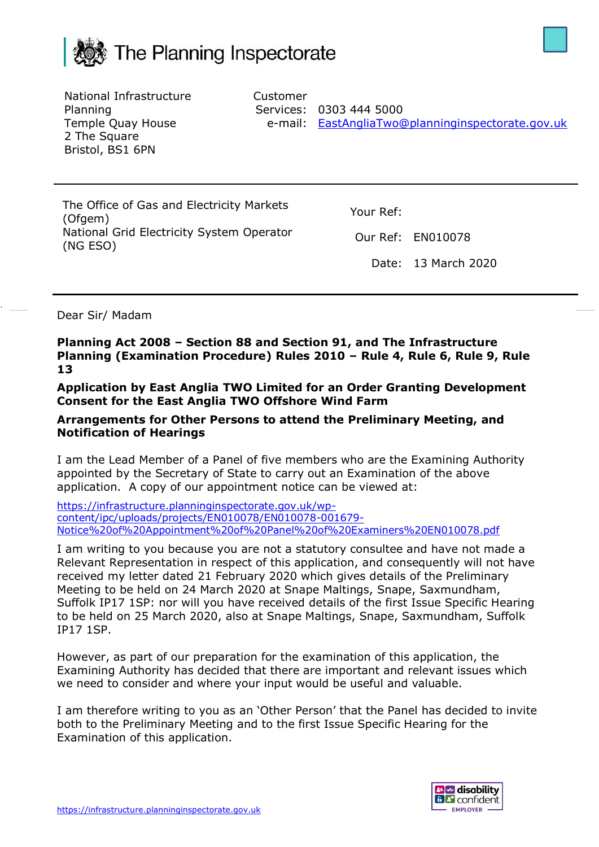



National Infrastructure Planning Temple Quay House 2 The Square Bristol, BS1 6PN

Customer

Services: 0303 444 5000 e-mail: [EastAngliaTwo@planninginspectorate.gov.uk](mailto:EastAngliaTwo@planninginspectorate.gov.uk)

The Office of Gas and Electricity Markets (Ofgem) National Grid Electricity System Operator (NG ESO)

Your Ref:

Our Ref: EN010078

Date: 13 March 2020

Dear Sir/ Madam

**Planning Act 2008 – Section 88 and Section 91, and The Infrastructure Planning (Examination Procedure) Rules 2010 – Rule 4, Rule 6, Rule 9, Rule 13**

**Application by East Anglia TWO Limited for an Order Granting Development Consent for the East Anglia TWO Offshore Wind Farm**

## **Arrangements for Other Persons to attend the Preliminary Meeting, and Notification of Hearings**

I am the Lead Member of a Panel of five members who are the Examining Authority appointed by the Secretary of State to carry out an Examination of the above application. A copy of our appointment notice can be viewed at:

[https://infrastructure.planninginspectorate.gov.uk/wp](https://infrastructure.planninginspectorate.gov.uk/wp-content/ipc/uploads/projects/EN010078/EN010078-001679-Notice%20of%20Appointment%20of%20Panel%20of%20Examiners%20EN010078.pdf)[content/ipc/uploads/projects/EN010078/EN010078-001679-](https://infrastructure.planninginspectorate.gov.uk/wp-content/ipc/uploads/projects/EN010078/EN010078-001679-Notice%20of%20Appointment%20of%20Panel%20of%20Examiners%20EN010078.pdf) [Notice%20of%20Appointment%20of%20Panel%20of%20Examiners%20EN010078.pdf](https://infrastructure.planninginspectorate.gov.uk/wp-content/ipc/uploads/projects/EN010078/EN010078-001679-Notice%20of%20Appointment%20of%20Panel%20of%20Examiners%20EN010078.pdf)

I am writing to you because you are not a statutory consultee and have not made a Relevant Representation in respect of this application, and consequently will not have received my letter dated 21 February 2020 which gives details of the Preliminary Meeting to be held on 24 March 2020 at Snape Maltings, Snape, Saxmundham, Suffolk IP17 1SP: nor will you have received details of the first Issue Specific Hearing to be held on 25 March 2020, also at Snape Maltings, Snape, Saxmundham, Suffolk IP17 1SP.

However, as part of our preparation for the examination of this application, the Examining Authority has decided that there are important and relevant issues which we need to consider and where your input would be useful and valuable.

I am therefore writing to you as an 'Other Person' that the Panel has decided to invite both to the Preliminary Meeting and to the first Issue Specific Hearing for the Examination of this application.